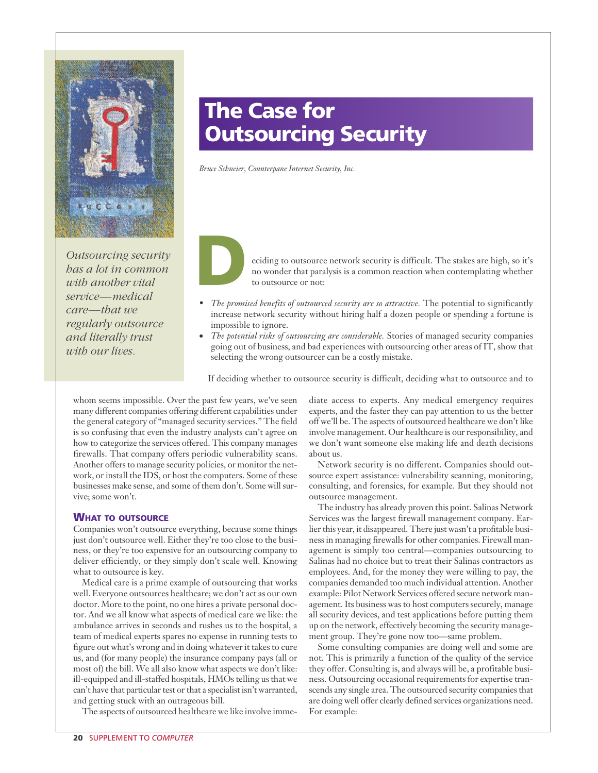

*Outsourcing security has a lot in common with another vital service—medical care—that we regularly outsource and literally trust with our lives.*

# **The Case for Outsourcing Security**

*Bruce Schneier, Counterpane Internet Security, Inc.*



eciding to outsource network security is difficult. The stakes are high, so it's no wonder that paralysis is a common reaction when contemplating whether to outsource or not:

- *The promised benefits of outsourced security are so attractive.* The potential to significantly increase network security without hiring half a dozen people or spending a fortune is impossible to ignore.
- *The potential risks of outsourcing are considerable.* Stories of managed security companies going out of business, and bad experiences with outsourcing other areas of IT, show that selecting the wrong outsourcer can be a costly mistake.

If deciding whether to outsource security is difficult, deciding what to outsource and to

whom seems impossible. Over the past few years, we've seen many different companies offering different capabilities under the general category of "managed security services." The field is so confusing that even the industry analysts can't agree on how to categorize the services offered. This company manages firewalls. That company offers periodic vulnerability scans. Another offers to manage security policies, or monitor the network, or install the IDS, or host the computers. Some of these businesses make sense, and some of them don't. Some will survive; some won't.

#### **WHAT TO OUTSOURCE**

Companies won't outsource everything, because some things just don't outsource well. Either they're too close to the business, or they're too expensive for an outsourcing company to deliver efficiently, or they simply don't scale well. Knowing what to outsource is key.

Medical care is a prime example of outsourcing that works well. Everyone outsources healthcare; we don't act as our own doctor. More to the point, no one hires a private personal doctor. And we all know what aspects of medical care we like: the ambulance arrives in seconds and rushes us to the hospital, a team of medical experts spares no expense in running tests to figure out what's wrong and in doing whatever it takes to cure us, and (for many people) the insurance company pays (all or most of) the bill. We all also know what aspects we don't like: ill-equipped and ill-staffed hospitals, HMOs telling us that we can't have that particular test or that a specialist isn't warranted, and getting stuck with an outrageous bill.

The aspects of outsourced healthcare we like involve imme-

diate access to experts. Any medical emergency requires experts, and the faster they can pay attention to us the better off we'll be. The aspects of outsourced healthcare we don't like involve management. Our healthcare is our responsibility, and we don't want someone else making life and death decisions about us.

Network security is no different. Companies should outsource expert assistance: vulnerability scanning, monitoring, consulting, and forensics, for example. But they should not outsource management.

The industry has already proven this point. Salinas Network Services was the largest firewall management company. Earlier this year, it disappeared. There just wasn't a profitable business in managing firewalls for other companies. Firewall management is simply too central—companies outsourcing to Salinas had no choice but to treat their Salinas contractors as employees. And, for the money they were willing to pay, the companies demanded too much individual attention. Another example: Pilot Network Services offered secure network management. Its business was to host computers securely, manage all security devices, and test applications before putting them up on the network, effectively becoming the security management group. They're gone now too—same problem.

Some consulting companies are doing well and some are not. This is primarily a function of the quality of the service they offer. Consulting is, and always will be, a profitable business. Outsourcing occasional requirements for expertise transcends any single area. The outsourced security companies that are doing well offer clearly defined services organizations need. For example: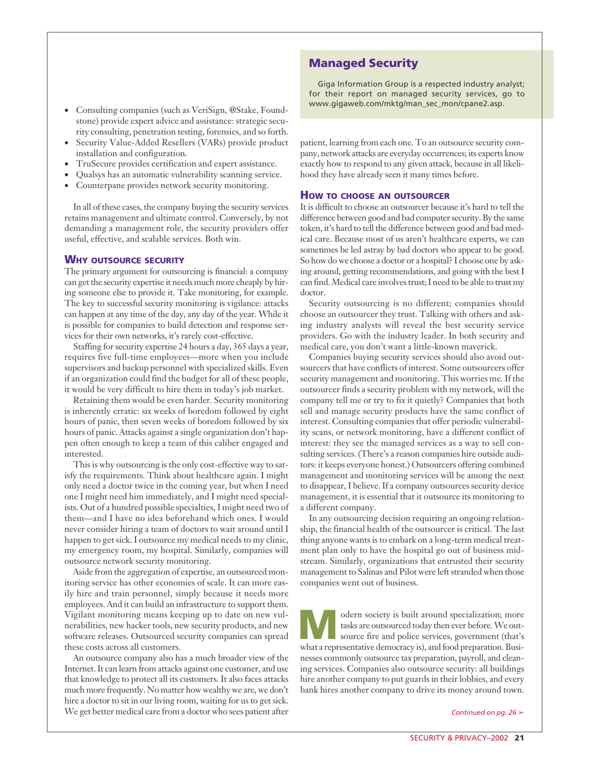- Consulting companies (such as VeriSign, @Stake, Foundstone) provide expert advice and assistance: strategic security consulting, penetration testing, forensics, and so forth.
- Security Value-Added Resellers (VARs) provide product installation and configuration.
- TruSecure provides certification and expert assistance.
- Qualsys has an automatic vulnerability scanning service.
- Counterpane provides network security monitoring.

In all of these cases, the company buying the security services retains management and ultimate control. Conversely, by not demanding a management role, the security providers offer useful, effective, and scalable services. Both win.

### **WHY OUTSOURCE SECURITY**

The primary argument for outsourcing is financial: a company can get the security expertise it needs much more cheaply by hiring someone else to provide it. Take monitoring, for example. The key to successful security monitoring is vigilance: attacks can happen at any time of the day, any day of the year. While it is possible for companies to build detection and response services for their own networks, it's rarely cost-effective.

Staffing for security expertise 24 hours a day, 365 days a year, requires five full-time employees—more when you include supervisors and backup personnel with specialized skills. Even if an organization could find the budget for all of these people, it would be very difficult to hire them in today's job market.

Retaining them would be even harder. Security monitoring is inherently erratic: six weeks of boredom followed by eight hours of panic, then seven weeks of boredom followed by six hours of panic. Attacks against a single organization don't happen often enough to keep a team of this caliber engaged and interested.

This is why outsourcing is the only cost-effective way to satisfy the requirements. Think about healthcare again. I might only need a doctor twice in the coming year, but when I need one I might need him immediately, and I might need specialists. Out of a hundred possible specialties, I might need two of them—and I have no idea beforehand which ones. I would never consider hiring a team of doctors to wait around until I happen to get sick. I outsource my medical needs to my clinic, my emergency room, my hospital. Similarly, companies will outsource network security monitoring.

Aside from the aggregation of expertise, an outsourced monitoring service has other economies of scale. It can more easily hire and train personnel, simply because it needs more employees. And it can build an infrastructure to support them. Vigilant monitoring means keeping up to date on new vulnerabilities, new hacker tools, new security products, and new software releases. Outsourced security companies can spread these costs across all customers.

An outsource company also has a much broader view of the Internet. It can learn from attacks against one customer, and use that knowledge to protect all its customers. It also faces attacks much more frequently. No matter how wealthy we are, we don't hire a doctor to sit in our living room, waiting for us to get sick. We get better medical care from a doctor who sees patient after

## **Managed Security**

Giga Information Group is a respected industry analyst; for their report on managed security services, go to www.gigaweb.com/mktg/man\_sec\_mon/cpane2.asp.

patient, learning from each one. To an outsource security company, network attacks are everyday occurrences; its experts know exactly how to respond to any given attack, because in all likelihood they have already seen it many times before.

#### **HOW TO CHOOSE AN OUTSOURCER**

It is difficult to choose an outsourcer because it's hard to tell the difference between good and bad computer security. By the same token, it's hard to tell the difference between good and bad medical care. Because most of us aren't healthcare experts, we can sometimes be led astray by bad doctors who appear to be good. So how do we choose a doctor or a hospital? I choose one by asking around, getting recommendations, and going with the best I can find. Medical care involves trust; I need to be able to trust my doctor.

Security outsourcing is no different; companies should choose an outsourcer they trust. Talking with others and asking industry analysts will reveal the best security service providers. Go with the industry leader. In both security and medical care, you don't want a little-known maverick.

Companies buying security services should also avoid outsourcers that have conflicts of interest. Some outsourcers offer security management and monitoring. This worries me. If the outsourcer finds a security problem with my network, will the company tell me or try to fix it quietly? Companies that both sell and manage security products have the same conflict of interest. Consulting companies that offer periodic vulnerability scans, or network monitoring, have a different conflict of interest: they see the managed services as a way to sell consulting services. (There's a reason companies hire outside auditors: it keeps everyone honest.) Outsourcers offering combined management and monitoring services will be among the next to disappear, I believe. If a company outsources security device management, it is essential that it outsource its monitoring to a different company.

In any outsourcing decision requiring an ongoing relationship, the financial health of the outsourcer is critical. The last thing anyone wants is to embark on a long-term medical treatment plan only to have the hospital go out of business midstream. Similarly, organizations that entrusted their security management to Salinas and Pilot were left stranded when those companies went out of business.

odern society is built around specialization; more<br>source fire and police services, government (that's<br>what a representative democracy is) and food preparation Busitasks are outsourced today then ever before. We outwhat a representative democracy is), and food preparation. Businesses commonly outsource tax preparation, payroll, and cleaning services. Companies also outsource security: all buildings hire another company to put guards in their lobbies, and every bank hires another company to drive its money around town.

*Continued on pg. 26* ➢